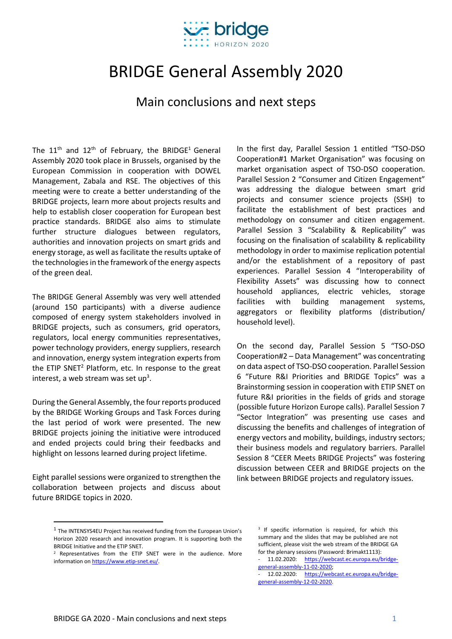

# BRIDGE General Assembly 2020

## Main conclusions and next steps

The  $11<sup>th</sup>$  and  $12<sup>th</sup>$  of February, the BRIDGE<sup>1</sup> General Assembly 2020 took place in Brussels, organised by the European Commission in cooperation with DOWEL Management, Zabala and RSE. The objectives of this meeting were to create a better understanding of the BRIDGE projects, learn more about projects results and help to establish closer cooperation for European best practice standards. BRIDGE also aims to stimulate further structure dialogues between regulators, authorities and innovation projects on smart grids and energy storage, as well as facilitate the results uptake of the technologies in the framework of the energy aspects of the green deal.

The BRIDGE General Assembly was very well attended (around 150 participants) with a diverse audience composed of energy system stakeholders involved in BRIDGE projects, such as consumers, grid operators, regulators, local energy communities representatives, power technology providers, energy suppliers, research and innovation, energy system integration experts from the ETIP SNET<sup>2</sup> Platform, etc. In response to the great interest, a web stream was set up<sup>3</sup>.

During the General Assembly, the four reports produced by the BRIDGE Working Groups and Task Forces during the last period of work were presented. The new BRIDGE projects joining the initiative were introduced and ended projects could bring their feedbacks and highlight on lessons learned during project lifetime.

Eight parallel sessions were organized to strengthen the collaboration between projects and discuss about future BRIDGE topics in 2020.

In the first day, Parallel Session 1 entitled "TSO-DSO Cooperation#1 Market Organisation" was focusing on market organisation aspect of TSO-DSO cooperation. Parallel Session 2 "Consumer and Citizen Engagement" was addressing the dialogue between smart grid projects and consumer science projects (SSH) to facilitate the establishment of best practices and methodology on consumer and citizen engagement. Parallel Session 3 "Scalability & Replicability" was focusing on the finalisation of scalability & replicability methodology in order to maximise replication potential and/or the establishment of a repository of past experiences. Parallel Session 4 "Interoperability of Flexibility Assets" was discussing how to connect household appliances, electric vehicles, storage facilities with building management systems, aggregators or flexibility platforms (distribution/ household level).

On the second day, Parallel Session 5 "TSO-DSO Cooperation#2 – Data Management" was concentrating on data aspect of TSO-DSO cooperation. Parallel Session 6 "Future R&I Priorities and BRIDGE Topics" was a Brainstorming session in cooperation with ETIP SNET on future R&I priorities in the fields of grids and storage (possible future Horizon Europe calls). Parallel Session 7 "Sector Integration" was presenting use cases and discussing the benefits and challenges of integration of energy vectors and mobility, buildings, industry sectors; their business models and regulatory barriers. Parallel Session 8 "CEER Meets BRIDGE Projects" was fostering discussion between CEER and BRIDGE projects on the link between BRIDGE projects and regulatory issues.

 $<sup>1</sup>$  The INTENSYS4EU Project has received funding from the European Union's</sup> Horizon 2020 research and innovation program. It is supporting both the BRIDGE Initiative and the ETIP SNET.

 $2$  Representatives from the ETIP SNET were in the audience. More information o[n https://www.etip-snet.eu/.](https://www.etip-snet.eu/)

<sup>&</sup>lt;sup>3</sup> If specific information is required, for which this summary and the slides that may be published are not sufficient, please visit the web stream of the BRIDGE GA for the plenary sessions (Password: Brimakt1113):

<sup>11.02.2020:</sup> [https://webcast.ec.europa.eu/bridge](https://webcast.ec.europa.eu/bridge-general-assembly-11-02-2020)[general-assembly-11-02-2020;](https://webcast.ec.europa.eu/bridge-general-assembly-11-02-2020)

<sup>12.02.2020:</sup> [https://webcast.ec.europa.eu/bridge](https://webcast.ec.europa.eu/bridge-general-assembly-12-02-2020)[general-assembly-12-02-2020.](https://webcast.ec.europa.eu/bridge-general-assembly-12-02-2020)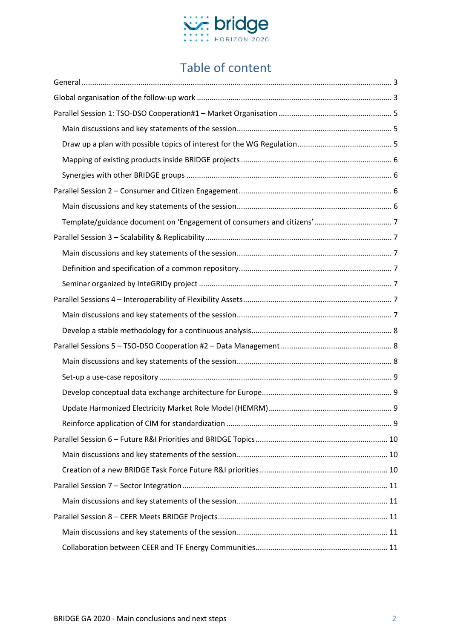

# Table of content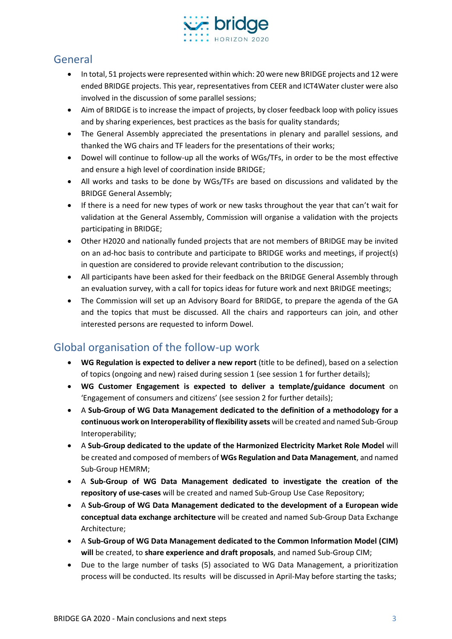

# <span id="page-2-0"></span>General

- In total, 51 projects were represented within which: 20 were new BRIDGE projects and 12 were ended BRIDGE projects. This year, representatives from CEER and ICT4Water cluster were also involved in the discussion of some parallel sessions;
- Aim of BRIDGE is to increase the impact of projects, by closer feedback loop with policy issues and by sharing experiences, best practices as the basis for quality standards;
- The General Assembly appreciated the presentations in plenary and parallel sessions, and thanked the WG chairs and TF leaders for the presentations of their works;
- Dowel will continue to follow-up all the works of WGs/TFs, in order to be the most effective and ensure a high level of coordination inside BRIDGE;
- All works and tasks to be done by WGs/TFs are based on discussions and validated by the BRIDGE General Assembly;
- If there is a need for new types of work or new tasks throughout the year that can't wait for validation at the General Assembly, Commission will organise a validation with the projects participating in BRIDGE;
- Other H2020 and nationally funded projects that are not members of BRIDGE may be invited on an ad-hoc basis to contribute and participate to BRIDGE works and meetings, if project(s) in question are considered to provide relevant contribution to the discussion;
- All participants have been asked for their feedback on the BRIDGE General Assembly through an evaluation survey, with a call for topics ideas for future work and next BRIDGE meetings;
- The Commission will set up an Advisory Board for BRIDGE, to prepare the agenda of the GA and the topics that must be discussed. All the chairs and rapporteurs can join, and other interested persons are requested to inform Dowel.

# <span id="page-2-1"></span>Global organisation of the follow-up work

- **WG Regulation is expected to deliver a new report** (title to be defined), based on a selection of topics (ongoing and new) raised during session 1 (see session 1 for further details);
- **WG Customer Engagement is expected to deliver a template/guidance document** on 'Engagement of consumers and citizens' (see session 2 for further details);
- A **Sub-Group of WG Data Management dedicated to the definition of a methodology for a continuous work on Interoperability of flexibility assets** will be created and named Sub-Group Interoperability;
- A **Sub-Group dedicated to the update of the Harmonized Electricity Market Role Model** will be created and composed of members of **WGs Regulation and Data Management**, and named Sub-Group HEMRM;
- A **Sub-Group of WG Data Management dedicated to investigate the creation of the repository of use-cases** will be created and named Sub-Group Use Case Repository;
- A **Sub-Group of WG Data Management dedicated to the development of a European wide conceptual data exchange architecture** will be created and named Sub-Group Data Exchange Architecture;
- A **Sub-Group of WG Data Management dedicated to the Common Information Model (CIM) will** be created, to **share experience and draft proposals**, and named Sub-Group CIM;
- Due to the large number of tasks (5) associated to WG Data Management, a prioritization process will be conducted. Its results will be discussed in April-May before starting the tasks;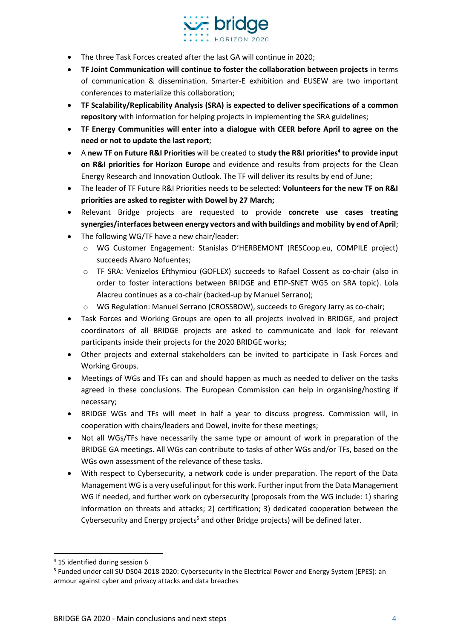

- The three Task Forces created after the last GA will continue in 2020;
- **TF Joint Communication will continue to foster the collaboration between projects** in terms of communication & dissemination. Smarter-E exhibition and EUSEW are two important conferences to materialize this collaboration;
- **TF Scalability/Replicability Analysis (SRA) is expected to deliver specifications of a common repository** with information for helping projects in implementing the SRA guidelines;
- **TF Energy Communities will enter into a dialogue with CEER before April to agree on the need or not to update the last report**;
- A **new TF on Future R&I Priorities** will be created to **study the R&I priorities<sup>4</sup> to provide input on R&I priorities for Horizon Europe** and evidence and results from projects for the Clean Energy Research and Innovation Outlook. The TF will deliver its results by end of June;
- The leader of TF Future R&I Priorities needs to be selected: **Volunteers for the new TF on R&I priorities are asked to register with Dowel by 27 March;**
- Relevant Bridge projects are requested to provide **concrete use cases treating synergies/interfaces between energy vectors and with buildings and mobility by end of April**;
- The following WG/TF have a new chair/leader:
	- o WG Customer Engagement: Stanislas D'HERBEMONT (RESCoop.eu, COMPILE project) succeeds Alvaro Nofuentes;
	- o TF SRA: Venizelos Efthymiou (GOFLEX) succeeds to Rafael Cossent as co-chair (also in order to foster interactions between BRIDGE and ETIP-SNET WG5 on SRA topic). Lola Alacreu continues as a co-chair (backed-up by Manuel Serrano);
	- o WG Regulation: Manuel Serrano (CROSSBOW), succeeds to Gregory Jarry as co-chair;
- Task Forces and Working Groups are open to all projects involved in BRIDGE, and project coordinators of all BRIDGE projects are asked to communicate and look for relevant participants inside their projects for the 2020 BRIDGE works;
- Other projects and external stakeholders can be invited to participate in Task Forces and Working Groups.
- Meetings of WGs and TFs can and should happen as much as needed to deliver on the tasks agreed in these conclusions. The European Commission can help in organising/hosting if necessary;
- BRIDGE WGs and TFs will meet in half a year to discuss progress. Commission will, in cooperation with chairs/leaders and Dowel, invite for these meetings;
- Not all WGs/TFs have necessarily the same type or amount of work in preparation of the BRIDGE GA meetings. All WGs can contribute to tasks of other WGs and/or TFs, based on the WGs own assessment of the relevance of these tasks.
- With respect to Cybersecurity, a network code is under preparation. The report of the Data Management WG is a very useful input for this work. Further input from the Data Management WG if needed, and further work on cybersecurity (proposals from the WG include: 1) sharing information on threats and attacks; 2) certification; 3) dedicated cooperation between the Cybersecurity and Energy projects<sup>5</sup> and other Bridge projects) will be defined later.

<sup>4</sup> 15 identified during session 6

<sup>&</sup>lt;sup>5</sup> Funded under call SU-DS04-2018-2020: Cybersecurity in the Electrical Power and Energy System (EPES): an armour against cyber and privacy attacks and data breaches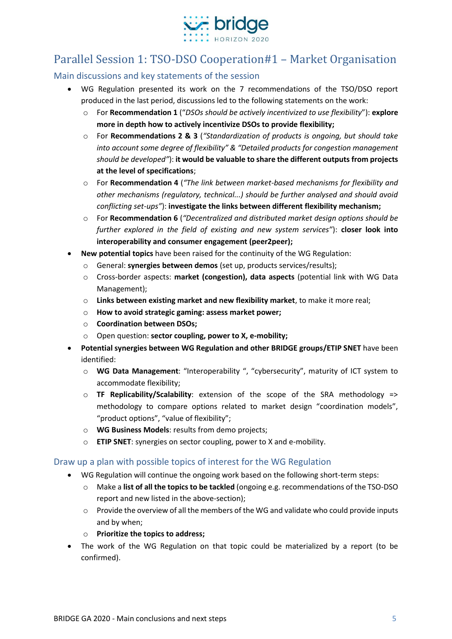

# <span id="page-4-0"></span>Parallel Session 1: TSO-DSO Cooperation#1 – Market Organisation

<span id="page-4-1"></span>Main discussions and key statements of the session

- WG Regulation presented its work on the 7 recommendations of the TSO/DSO report produced in the last period, discussions led to the following statements on the work:
	- o For **Recommendation 1** ("*DSOs should be actively incentivized to use flexibility*"): **explore more in depth how to actively incentivize DSOs to provide flexibility;**
	- o For **Recommendations 2 & 3** (*"Standardization of products is ongoing, but should take into account some degree of flexibility" & "Detailed products for congestion management should be developed"*): **it would be valuable to share the different outputs from projects at the level of specifications**;
	- o For **Recommendation 4** (*"The link between market-based mechanisms for flexibility and other mechanisms (regulatory, technical...) should be further analysed and should avoid conflicting set-ups"*): **investigate the links between different flexibility mechanism;**
	- o For **Recommendation 6** (*"Decentralized and distributed market design options should be further explored in the field of existing and new system services"*): **closer look into interoperability and consumer engagement (peer2peer);**
- **New potential topics** have been raised for the continuity of the WG Regulation:
	- o General: **synergies between demos** (set up, products services/results);
	- o Cross-border aspects: **market (congestion), data aspects** (potential link with WG Data Management);
	- o **Links between existing market and new flexibility market**, to make it more real;
	- o **How to avoid strategic gaming: assess market power;**
	- o **Coordination between DSOs;**
	- o Open question: **sector coupling, power to X, e-mobility;**
- **Potential synergies between WG Regulation and other BRIDGE groups/ETIP SNET** have been identified:
	- o **WG Data Management**: "Interoperability ", "cybersecurity", maturity of ICT system to accommodate flexibility;
	- o **TF Replicability/Scalability**: extension of the scope of the SRA methodology => methodology to compare options related to market design "coordination models", "product options", "value of flexibility";
	- o **WG Business Models**: results from demo projects;
	- o **ETIP SNET**: synergies on sector coupling, power to X and e-mobility.

#### <span id="page-4-2"></span>Draw up a plan with possible topics of interest for the WG Regulation

- WG Regulation will continue the ongoing work based on the following short-term steps:
	- o Make a **list of all the topics to be tackled** (ongoing e.g. recommendations of the TSO-DSO report and new listed in the above-section);
	- o Provide the overview of all the members of the WG and validate who could provide inputs and by when;
	- o **Prioritize the topics to address;**
- The work of the WG Regulation on that topic could be materialized by a report (to be confirmed).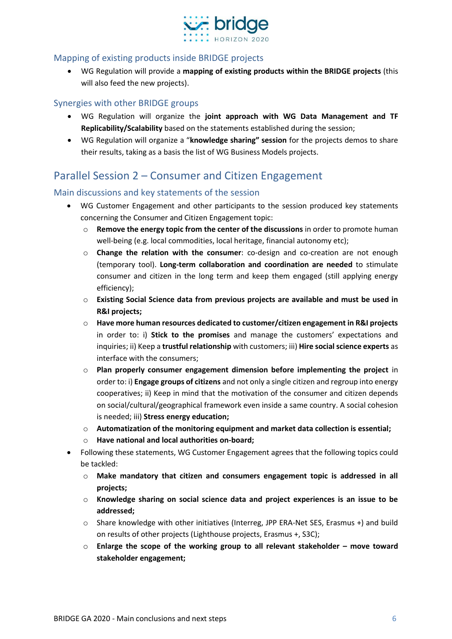

#### <span id="page-5-0"></span>Mapping of existing products inside BRIDGE projects

• WG Regulation will provide a **mapping of existing products within the BRIDGE projects** (this will also feed the new projects).

#### <span id="page-5-1"></span>Synergies with other BRIDGE groups

- WG Regulation will organize the **joint approach with WG Data Management and TF Replicability/Scalability** based on the statements established during the session;
- WG Regulation will organize a "**knowledge sharing" session** for the projects demos to share their results, taking as a basis the list of WG Business Models projects.

# <span id="page-5-2"></span>Parallel Session 2 – Consumer and Citizen Engagement

#### <span id="page-5-3"></span>Main discussions and key statements of the session

- WG Customer Engagement and other participants to the session produced key statements concerning the Consumer and Citizen Engagement topic:
	- o **Remove the energy topic from the center of the discussions** in order to promote human well-being (e.g. local commodities, local heritage, financial autonomy etc);
	- o **Change the relation with the consumer**: co-design and co-creation are not enough (temporary tool). **Long-term collaboration and coordination are needed** to stimulate consumer and citizen in the long term and keep them engaged (still applying energy efficiency);
	- o **Existing Social Science data from previous projects are available and must be used in R&I projects;**
	- o **Have more human resources dedicated to customer/citizen engagement in R&I projects** in order to: i) **Stick to the promises** and manage the customers' expectations and inquiries; ii) Keep a **trustful relationship** with customers; iii) **Hire social science experts** as interface with the consumers;
	- o **Plan properly consumer engagement dimension before implementing the project** in order to: i) **Engage groups of citizens** and not only a single citizen and regroup into energy cooperatives; ii) Keep in mind that the motivation of the consumer and citizen depends on social/cultural/geographical framework even inside a same country. A social cohesion is needed; iii) **Stress energy education;**
	- o **Automatization of the monitoring equipment and market data collection is essential;**
	- o **Have national and local authorities on-board;**
- Following these statements, WG Customer Engagement agrees that the following topics could be tackled:
	- o **Make mandatory that citizen and consumers engagement topic is addressed in all projects;**
	- o **Knowledge sharing on social science data and project experiences is an issue to be addressed;**
	- o Share knowledge with other initiatives (Interreg, JPP ERA-Net SES, Erasmus +) and build on results of other projects (Lighthouse projects, Erasmus +, S3C);
	- o **Enlarge the scope of the working group to all relevant stakeholder – move toward stakeholder engagement;**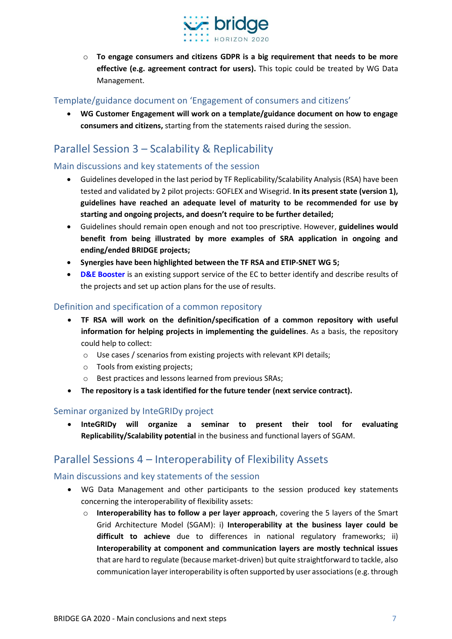

o **To engage consumers and citizens GDPR is a big requirement that needs to be more effective (e.g. agreement contract for users).** This topic could be treated by WG Data Management.

#### <span id="page-6-0"></span>Template/guidance document on 'Engagement of consumers and citizens'

• **WG Customer Engagement will work on a template/guidance document on how to engage consumers and citizens,** starting from the statements raised during the session.

# <span id="page-6-1"></span>Parallel Session 3 – Scalability & Replicability

#### <span id="page-6-2"></span>Main discussions and key statements of the session

- Guidelines developed in the last period by TF Replicability/Scalability Analysis (RSA) have been tested and validated by 2 pilot projects: GOFLEX and Wisegrid. **In its present state (version 1), guidelines have reached an adequate level of maturity to be recommended for use by starting and ongoing projects, and doesn't require to be further detailed;**
- Guidelines should remain open enough and not too prescriptive. However, **guidelines would benefit from being illustrated by more examples of SRA application in ongoing and ending/ended BRIDGE projects;**
- **Synergies have been highlighted between the TF RSA and ETIP-SNET WG 5;**
- **[D&E Booster](https://ec.europa.eu/research/participants/data/ref/h2020/other/comm/190906_d-e-booster_en.pdf)** is an existing support service of the EC to better identify and describe results of the projects and set up action plans for the use of results.

#### <span id="page-6-3"></span>Definition and specification of a common repository

- **TF RSA will work on the definition/specification of a common repository with useful information for helping projects in implementing the guidelines**. As a basis, the repository could help to collect:
	- o Use cases / scenarios from existing projects with relevant KPI details;
	- o Tools from existing projects;
	- o Best practices and lessons learned from previous SRAs;
- **The repository is a task identified for the future tender (next service contract).**

#### <span id="page-6-4"></span>Seminar organized by InteGRIDy project

• **InteGRIDy will organize a seminar to present their tool for evaluating Replicability/Scalability potential** in the business and functional layers of SGAM.

# <span id="page-6-5"></span>Parallel Sessions 4 – Interoperability of Flexibility Assets

#### <span id="page-6-6"></span>Main discussions and key statements of the session

- WG Data Management and other participants to the session produced key statements concerning the interoperability of flexibility assets:
	- o **Interoperability has to follow a per layer approach**, covering the 5 layers of the Smart Grid Architecture Model (SGAM): i) **Interoperability at the business layer could be difficult to achieve** due to differences in national regulatory frameworks; ii) **Interoperability at component and communication layers are mostly technical issues** that are hard to regulate (because market-driven) but quite straightforward to tackle, also communication layer interoperability is often supported by user associations(e.g. through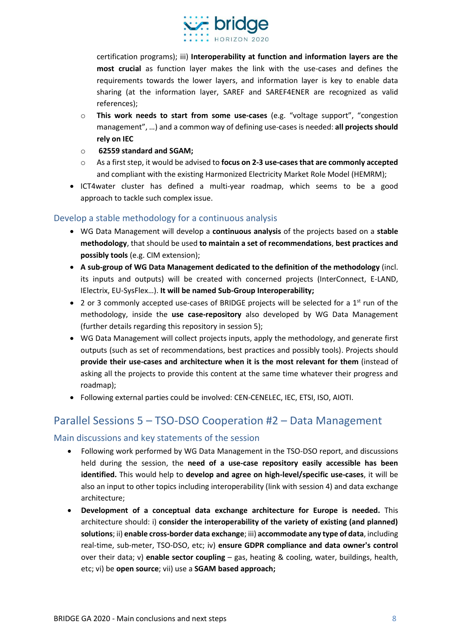

certification programs); iii) **Interoperability at function and information layers are the most crucial** as function layer makes the link with the use-cases and defines the requirements towards the lower layers, and information layer is key to enable data sharing (at the information layer, SAREF and SAREF4ENER are recognized as valid references);

- o **This work needs to start from some use-cases** (e.g. "voltage support", "congestion management", …) and a common way of defining use-cases is needed: **all projects should rely on IEC**
- o **62559 standard and SGAM;**
- o As a first step, it would be advised to **focus on 2-3 use-cases that are commonly accepted** and compliant with the existing Harmonized Electricity Market Role Model (HEMRM);
- ICT4water cluster has defined a multi-year roadmap, which seems to be a good approach to tackle such complex issue.

#### <span id="page-7-0"></span>Develop a stable methodology for a continuous analysis

- WG Data Management will develop a **continuous analysis** of the projects based on a **stable methodology**, that should be used **to maintain a set of recommendations**, **best practices and possibly tools** (e.g. CIM extension);
- **A sub-group of WG Data Management dedicated to the definition of the methodology** (incl. its inputs and outputs) will be created with concerned projects (InterConnect, E-LAND, IElectrix, EU-SysFlex…). **It will be named Sub-Group Interoperability;**
- 2 or 3 commonly accepted use-cases of BRIDGE projects will be selected for a  $1<sup>st</sup>$  run of the methodology, inside the **use case-repository** also developed by WG Data Management (further details regarding this repository in session 5);
- WG Data Management will collect projects inputs, apply the methodology, and generate first outputs (such as set of recommendations, best practices and possibly tools). Projects should **provide their use-cases and architecture when it is the most relevant for them** (instead of asking all the projects to provide this content at the same time whatever their progress and roadmap);
- Following external parties could be involved: CEN-CENELEC, IEC, ETSI, ISO, AIOTI.

### <span id="page-7-1"></span>Parallel Sessions 5 – TSO-DSO Cooperation #2 – Data Management

#### <span id="page-7-2"></span>Main discussions and key statements of the session

- Following work performed by WG Data Management in the TSO-DSO report, and discussions held during the session, the **need of a use-case repository easily accessible has been identified.** This would help to **develop and agree on high-level/specific use-cases**, it will be also an input to other topics including interoperability (link with session 4) and data exchange architecture;
- **Development of a conceptual data exchange architecture for Europe is needed.** This architecture should: i) **consider the interoperability of the variety of existing (and planned) solutions**; ii) **enable cross-border data exchange**; iii) **accommodate any type of data**, including real-time, sub-meter, TSO-DSO, etc; iv) **ensure GDPR compliance and data owner's control** over their data; v) **enable sector coupling** – gas, heating & cooling, water, buildings, health, etc; vi) be **open source**; vii) use a **SGAM based approach;**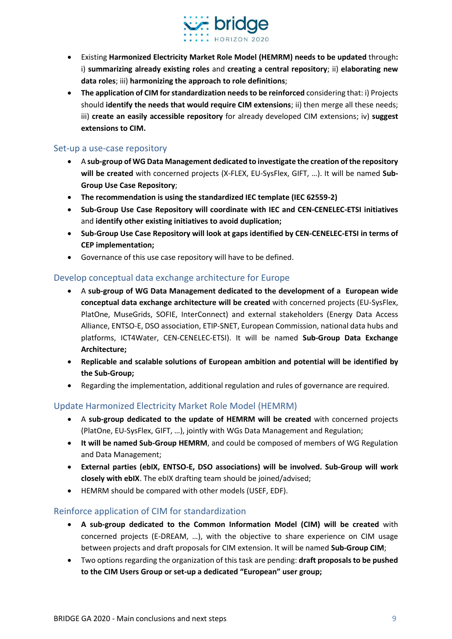

- Existing **Harmonized Electricity Market Role Model (HEMRM) needs to be updated** through**:** i) **summarizing already existing roles** and **creating a central repository**; ii) **elaborating new data roles**; iii) **harmonizing the approach to role definitions**;
- **The application of CIM for standardization needs to be reinforced** considering that: i) Projects should **identify the needs that would require CIM extensions**; ii) then merge all these needs; iii) **create an easily accessible repository** for already developed CIM extensions; iv) **suggest extensions to CIM.**

#### <span id="page-8-0"></span>Set-up a use-case repository

- A **sub-group of WG Data Management dedicated to investigate the creation of the repository will be created** with concerned projects (X-FLEX, EU-SysFlex, GIFT, …). It will be named **Sub-Group Use Case Repository**;
- **The recommendation is using the standardized IEC template (IEC 62559-2)**
- **Sub-Group Use Case Repository will coordinate with IEC and CEN-CENELEC-ETSI initiatives** and **identify other existing initiatives to avoid duplication;**
- **Sub-Group Use Case Repository will look at gaps identified by CEN-CENELEC-ETSI in terms of CEP implementation;**
- Governance of this use case repository will have to be defined.

#### <span id="page-8-1"></span>Develop conceptual data exchange architecture for Europe

- A **sub-group of WG Data Management dedicated to the development of a European wide conceptual data exchange architecture will be created** with concerned projects (EU-SysFlex, PlatOne, MuseGrids, SOFIE, InterConnect) and external stakeholders (Energy Data Access Alliance, ENTSO-E, DSO association, ETIP-SNET, European Commission, national data hubs and platforms, ICT4Water, CEN-CENELEC-ETSI). It will be named **Sub-Group Data Exchange Architecture;**
- **Replicable and scalable solutions of European ambition and potential will be identified by the Sub-Group;**
- Regarding the implementation, additional regulation and rules of governance are required.

#### <span id="page-8-2"></span>Update Harmonized Electricity Market Role Model (HEMRM)

- A **sub-group dedicated to the update of HEMRM will be created** with concerned projects (PlatOne, EU-SysFlex, GIFT, …), jointly with WGs Data Management and Regulation;
- **It will be named Sub-Group HEMRM**, and could be composed of members of WG Regulation and Data Management;
- **External parties (ebIX, ENTSO-E, DSO associations) will be involved. Sub-Group will work closely with ebIX**. The ebIX drafting team should be joined/advised;
- HEMRM should be compared with other models (USEF, EDF).

#### <span id="page-8-3"></span>Reinforce application of CIM for standardization

- **A sub-group dedicated to the Common Information Model (CIM) will be created** with concerned projects (E-DREAM, …), with the objective to share experience on CIM usage between projects and draft proposals for CIM extension. It will be named **Sub-Group CIM**;
- Two options regarding the organization of this task are pending: **draft proposals to be pushed to the CIM Users Group or set-up a dedicated "European" user group;**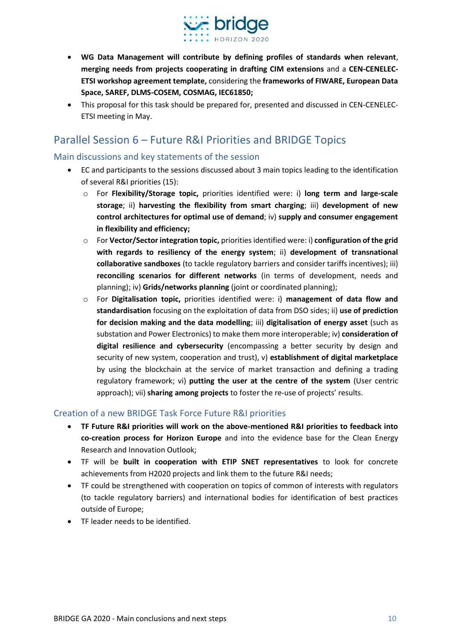

- **WG Data Management will contribute by defining profiles of standards when relevant**, **merging needs from projects cooperating in drafting CIM extensions** and a **CEN-CENELEC-ETSI workshop agreement template,** considering the **frameworks of FIWARE, European Data Space, SAREF, DLMS-COSEM, COSMAG, IEC61850;**
- This proposal for this task should be prepared for, presented and discussed in CEN-CENELEC-ETSI meeting in May.

# <span id="page-9-0"></span>Parallel Session 6 – Future R&I Priorities and BRIDGE Topics

#### <span id="page-9-1"></span>Main discussions and key statements of the session

- EC and participants to the sessions discussed about 3 main topics leading to the identification of several R&I priorities (15):
	- o For **Flexibility/Storage topic,** priorities identified were: i) **long term and large-scale storage**; ii) **harvesting the flexibility from smart charging**; iii) **development of new control architectures for optimal use of demand**; iv) **supply and consumer engagement in flexibility and efficiency;**
	- o For **Vector/Sector integration topic,** priorities identified were: i) **configuration of the grid with regards to resiliency of the energy system**; ii) **development of transnational collaborative sandboxes** (to tackle regulatory barriers and consider tariffs incentives); iii) **reconciling scenarios for different networks** (in terms of development, needs and planning); iv) **Grids/networks planning** (joint or coordinated planning);
	- o For **Digitalisation topic,** priorities identified were: i) **management of data flow and standardisation** focusing on the exploitation of data from DSO sides; ii) **use of prediction for decision making and the data modelling**; iii) **digitalisation of energy asset** (such as substation and Power Electronics) to make them more interoperable; iv) **consideration of digital resilience and cybersecurity** (encompassing a better security by design and security of new system, cooperation and trust), v) **establishment of digital marketplace** by using the blockchain at the service of market transaction and defining a trading regulatory framework; vi) **putting the user at the centre of the system** (User centric approach); vii) **sharing among projects** to foster the re-use of projects' results.

#### <span id="page-9-2"></span>Creation of a new BRIDGE Task Force Future R&I priorities

- **TF Future R&I priorities will work on the above-mentioned R&I priorities to feedback into co-creation process for Horizon Europe** and into the evidence base for the Clean Energy Research and Innovation Outlook;
- TF will be **built in cooperation with ETIP SNET representatives** to look for concrete achievements from H2020 projects and link them to the future R&I needs;
- TF could be strengthened with cooperation on topics of common of interests with regulators (to tackle regulatory barriers) and international bodies for identification of best practices outside of Europe;
- TF leader needs to be identified.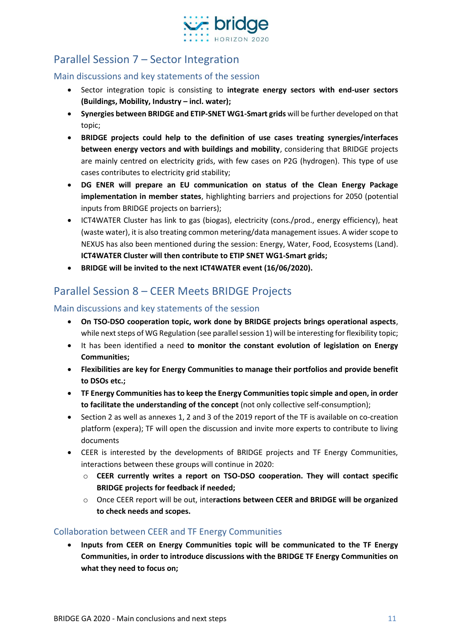

# <span id="page-10-0"></span>Parallel Session 7 – Sector Integration

#### <span id="page-10-1"></span>Main discussions and key statements of the session

- Sector integration topic is consisting to **integrate energy sectors with end-user sectors (Buildings, Mobility, Industry – incl. water);**
- **Synergies between BRIDGE and ETIP-SNET WG1-Smart grids** will be further developed on that topic;
- **BRIDGE projects could help to the definition of use cases treating synergies/interfaces between energy vectors and with buildings and mobility**, considering that BRIDGE projects are mainly centred on electricity grids, with few cases on P2G (hydrogen). This type of use cases contributes to electricity grid stability;
- **DG ENER will prepare an EU communication on status of the Clean Energy Package implementation in member states**, highlighting barriers and projections for 2050 (potential inputs from BRIDGE projects on barriers);
- ICT4WATER Cluster has link to gas (biogas), electricity (cons./prod., energy efficiency), heat (waste water), it is also treating common metering/data management issues. A wider scope to NEXUS has also been mentioned during the session: Energy, Water, Food, Ecosystems (Land). **ICT4WATER Cluster will then contribute to ETIP SNET WG1-Smart grids;**
- **BRIDGE will be invited to the next ICT4WATER event (16/06/2020).**

# <span id="page-10-2"></span>Parallel Session 8 – CEER Meets BRIDGE Projects

#### <span id="page-10-3"></span>Main discussions and key statements of the session

- **On TSO-DSO cooperation topic, work done by BRIDGE projects brings operational aspects**, while next steps of WG Regulation (see parallel session 1) will be interesting for flexibility topic;
- It has been identified a need **to monitor the constant evolution of legislation on Energy Communities;**
- **Flexibilities are key for Energy Communities to manage their portfolios and provide benefit to DSOs etc.;**
- **TF Energy Communities has to keep the Energy Communities topic simple and open, in order to facilitate the understanding of the concept** (not only collective self-consumption);
- Section 2 as well as annexes 1, 2 and 3 of the 2019 report of the TF is available on co-creation platform (expera); TF will open the discussion and invite more experts to contribute to living documents
- CEER is interested by the developments of BRIDGE projects and TF Energy Communities, interactions between these groups will continue in 2020:
	- o **CEER currently writes a report on TSO-DSO cooperation. They will contact specific BRIDGE projects for feedback if needed;**
	- o Once CEER report will be out, inte**ractions between CEER and BRIDGE will be organized to check needs and scopes.**

#### <span id="page-10-4"></span>Collaboration between CEER and TF Energy Communities

• **Inputs from CEER on Energy Communities topic will be communicated to the TF Energy Communities, in order to introduce discussions with the BRIDGE TF Energy Communities on what they need to focus on;**